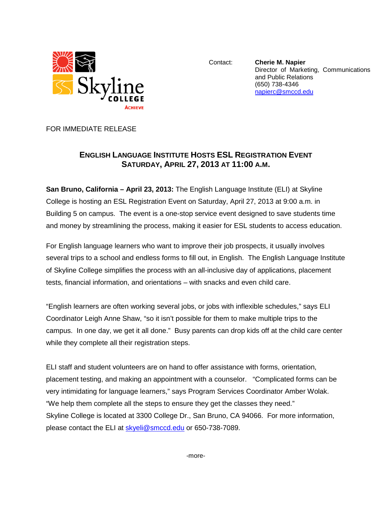

Contact: **Cherie M. Napier** Director of Marketing, Communications and Public Relations (650) 738-4346 [napierc@smccd.edu](mailto:napierc@smccd.edu)

FOR IMMEDIATE RELEASE

## **ENGLISH LANGUAGE INSTITUTE HOSTS ESL REGISTRATION EVENT SATURDAY, APRIL 27, 2013 AT 11:00 A.M.**

**San Bruno, California – April 23, 2013:** The English Language Institute (ELI) at Skyline College is hosting an ESL Registration Event on Saturday, April 27, 2013 at 9:00 a.m. in Building 5 on campus. The event is a one-stop service event designed to save students time and money by streamlining the process, making it easier for ESL students to access education.

For English language learners who want to improve their job prospects, it usually involves several trips to a school and endless forms to fill out, in English. The English Language Institute of Skyline College simplifies the process with an all-inclusive day of applications, placement tests, financial information, and orientations – with snacks and even child care.

"English learners are often working several jobs, or jobs with inflexible schedules," says ELI Coordinator Leigh Anne Shaw, "so it isn't possible for them to make multiple trips to the campus. In one day, we get it all done." Busy parents can drop kids off at the child care center while they complete all their registration steps.

ELI staff and student volunteers are on hand to offer assistance with forms, orientation, placement testing, and making an appointment with a counselor. "Complicated forms can be very intimidating for language learners," says Program Services Coordinator Amber Wolak. "We help them complete all the steps to ensure they get the classes they need." Skyline College is located at 3300 College Dr., San Bruno, CA 94066. For more information, please contact the ELI at [skyeli@smccd.edu](mailto:skyeli@smccd.edu) or 650-738-7089.